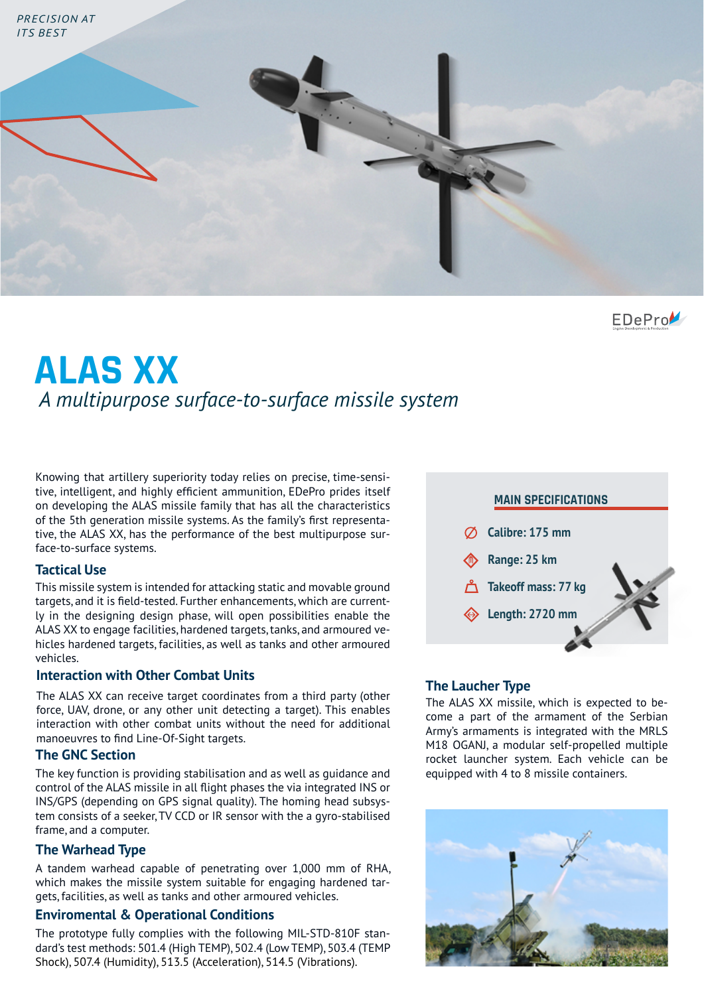

EDePro

# **ALAS XX**  *A multipurpose surface-to-surface missile system*

Knowing that artillery superiority today relies on precise, time-sensitive, intelligent, and highly efficient ammunition, EDePro prides itself on developing the ALAS missile family that has all the characteristics of the 5th generation missile systems. As the family's first representative, the ALAS XX, has the performance of the best multipurpose surface-to-surface systems.

#### **Tactical Use**

This missile system is intended for attacking static and movable ground targets, and it is field-tested. Further enhancements, which are currently in the designing design phase, will open possibilities enable the ALAS XX to engage facilities, hardened targets, tanks, and armoured vehicles hardened targets, facilities, as well as tanks and other armoured vehicles.

#### **Interaction with Other Combat Units**

The ALAS XX can receive target coordinates from a third party (other force, UAV, drone, or any other unit detecting a target). This enables interaction with other combat units without the need for additional manoeuvres to find Line-Of-Sight targets.

## **The GNC Section**

The key function is providing stabilisation and as well as guidance and control of the ALAS missile in all flight phases the via integrated INS or INS/GPS (depending on GPS signal quality). The homing head subsystem consists of a seeker, TV CCD or IR sensor with the a gyro-stabilised frame, and a computer.

## **The Warhead Type**

A tandem warhead capable of penetrating over 1,000 mm of RHA, which makes the missile system suitable for engaging hardened targets, facilities, as well as tanks and other armoured vehicles.

## **Enviromental & Operational Conditions**

The prototype fully complies with the following MIL-STD-810F standard's test methods: 501.4 (High TEMP), 502.4 (Low TEMP), 503.4 (TEMP Shock), 507.4 (Humidity), 513.5 (Acceleration), 514.5 (Vibrations).



# **The Laucher Type**

The ALAS XX missile, which is expected to become a part of the armament of the Serbian Army's armaments is integrated with the MRLS M18 OGANJ, a modular self-propelled multiple rocket launcher system. Each vehicle can be equipped with 4 to 8 missile containers.